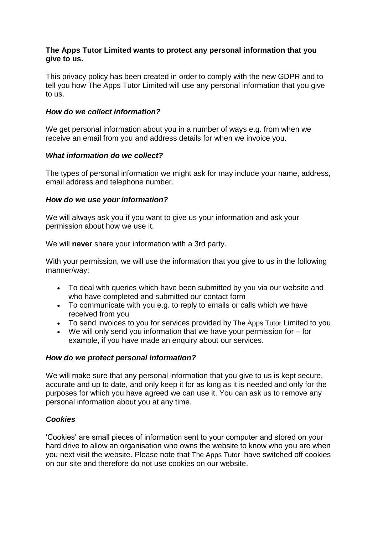## **The Apps Tutor Limited wants to protect any personal information that you give to us.**

This privacy policy has been created in order to comply with the new GDPR and to tell you how The Apps Tutor Limited will use any personal information that you give to us.

## *How do we collect information?*

We get personal information about you in a number of ways e.g. from when we receive an email from you and address details for when we invoice you.

# *What information do we collect?*

The types of personal information we might ask for may include your name, address, email address and telephone number.

# *How do we use your information?*

We will always ask you if you want to give us your information and ask your permission about how we use it.

We will **never** share your information with a 3rd party.

With your permission, we will use the information that you give to us in the following manner/way:

- To deal with queries which have been submitted by you via our website and who have completed and submitted our contact form
- To communicate with you e.g. to reply to emails or calls which we have received from you
- To send invoices to you for services provided by The Apps Tutor Limited to you
- We will only send you information that we have your permission for for example, if you have made an enquiry about our services.

## *How do we protect personal information?*

We will make sure that any personal information that you give to us is kept secure, accurate and up to date, and only keep it for as long as it is needed and only for the purposes for which you have agreed we can use it. You can ask us to remove any personal information about you at any time.

# *Cookies*

'Cookies' are small pieces of information sent to your computer and stored on your hard drive to allow an organisation who owns the website to know who you are when you next visit the website. Please note that The Apps Tutor have switched off cookies on our site and therefore do not use cookies on our website.